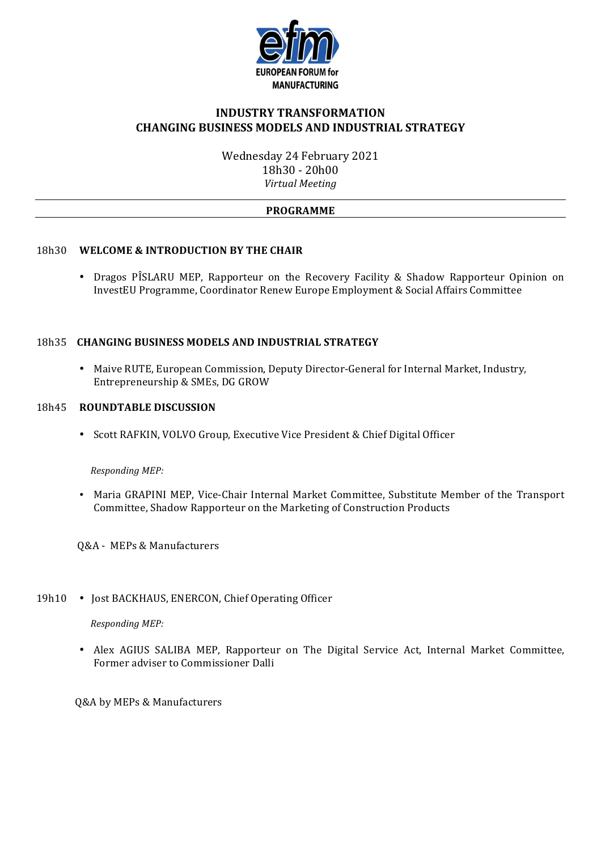

## **INDUSTRY TRANSFORMATION CHANGING BUSINESS MODELS AND INDUSTRIAL STRATEGY**

Wednesday 24 February 2021 18h30 - 20h00 *Virtual Meeting*

#### **PROGRAMME**

#### 18h30 WELCOME & INTRODUCTION BY THE CHAIR

• Dragos PÎSLARU MEP, Rapporteur on the Recovery Facility & Shadow Rapporteur Opinion on InvestEU Programme, Coordinator Renew Europe Employment & Social Affairs Committee

## 18h35 **CHANGING BUSINESS MODELS AND INDUSTRIAL STRATEGY**

• Maive RUTE, European Commission, Deputy Director-General for Internal Market, Industry, Entrepreneurship & SMEs, DG GROW

#### 18h45 **ROUNDTABLE DISCUSSION**

• Scott RAFKIN, VOLVO Group, Executive Vice President & Chief Digital Officer

 *Responding MEP:*

- Maria GRAPINI MEP, Vice-Chair Internal Market Committee, Substitute Member of the Transport Committee, Shadow Rapporteur on the Marketing of Construction Products
- **Q&A** MEPs & Manufacturers

## 19h10 • Jost BACKHAUS, ENERCON, Chief Operating Officer

*Responding MEP:* 

• Alex AGIUS SALIBA MEP, Rapporteur on The Digital Service Act, Internal Market Committee, Former adviser to Commissioner Dalli

0&A by MEPs & Manufacturers